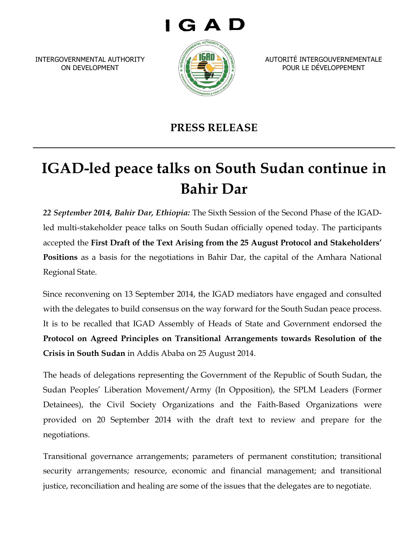

INTERGOVERNMENTAL AUTHORITY ON DEVELOPMENT



AUTORITÉ INTERGOUVERNEMENTALE POUR LE DÉVELOPPEMENT

## **PRESS RELEASE**

## **IGAD-led peace talks on South Sudan continue in Bahir Dar**

*22 September 2014, Bahir Dar, Ethiopia:* The Sixth Session of the Second Phase of the IGADled multi-stakeholder peace talks on South Sudan officially opened today. The participants accepted the **First Draft of the Text Arising from the 25 August Protocol and Stakeholders' Positions** as a basis for the negotiations in Bahir Dar, the capital of the Amhara National Regional State.

Since reconvening on 13 September 2014, the IGAD mediators have engaged and consulted with the delegates to build consensus on the way forward for the South Sudan peace process. It is to be recalled that IGAD Assembly of Heads of State and Government endorsed the **Protocol on Agreed Principles on Transitional Arrangements towards Resolution of the Crisis in South Sudan** in Addis Ababa on 25 August 2014.

The heads of delegations representing the Government of the Republic of South Sudan, the Sudan Peoples' Liberation Movement/Army (In Opposition), the SPLM Leaders (Former Detainees), the Civil Society Organizations and the Faith-Based Organizations were provided on 20 September 2014 with the draft text to review and prepare for the negotiations.

Transitional governance arrangements; parameters of permanent constitution; transitional security arrangements; resource, economic and financial management; and transitional justice, reconciliation and healing are some of the issues that the delegates are to negotiate.